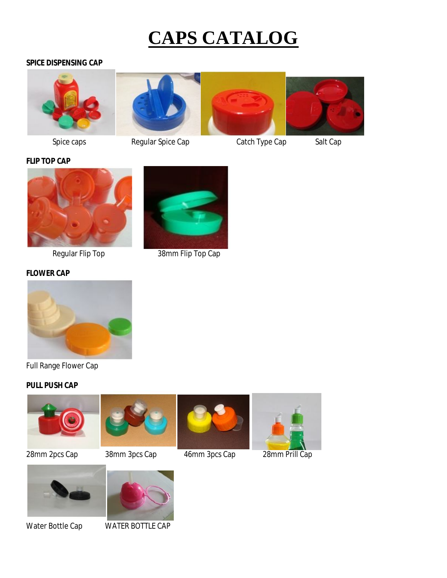# **CAPS CATALOG**

## **SPICE DISPENSING CAP**





Spice caps **Regular Spice Cap** Catch Type Cap Salt Cap







Regular Flip Top 38mm Flip Top Cap

## **FLOWER CAP**



Full Range Flower Cap

## **PULL PUSH CAP**







28mm 2pcs Cap 38mm 3pcs Cap 46mm 3pcs Cap 28mm Prill Cap





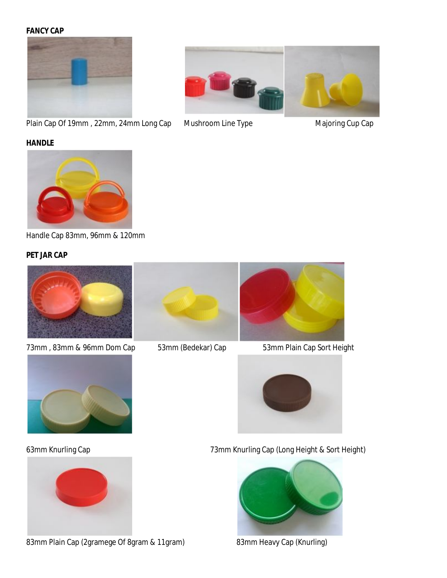#### **FANCY CAP**



Plain Cap Of 19mm, 22mm, 24mm Long Cap Mushroom Line Type Majoring Cup Cap





Handle Cap 83mm, 96mm & 120mm

## **PET JAR CAP**



73mm, 83mm & 96mm Dom Cap 53mm (Bedekar) Cap 53mm Plain Cap Sort Height





83mm Plain Cap (2gramege Of 8gram & 11gram) 83mm Heavy Cap (Knurling)







63mm Knurling Cap 73mm Knurling Cap (Long Height & Sort Height)

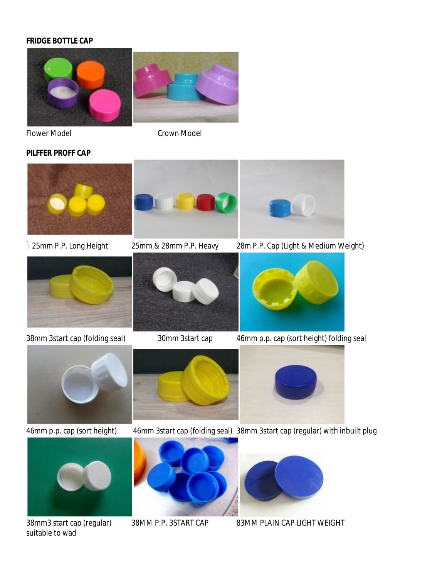## **FRIDGE BOTTLE CAP**



Flower Model **Crown Model** 

### **PILFFER PROFF CAP**



25mm P.P. Long Height 25mm & 28mm P.P. Heavy 28m P.P. Cap (Light & Medium Weight)



38mm 3start cap (folding seal) 30mm 3start cap 46mm p.p. cap (sort height) folding seal











46mm p.p. cap (sort height) 46mm 3start cap (folding seal) 38mm 3start cap (regular) with inbuilt plug





38mm3 start cap (regular) 38MM P.P. 3START CAP 83MM PLAIN CAP LIGHT WEIGHT



suitable to wad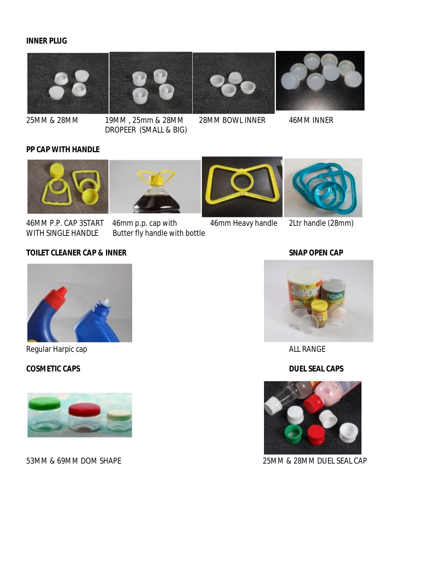#### **INNER PLUG**









25MM & 28MM 19MM , 25mm & 28MM 28MM BOWL INNER 46MM INNER DROPEER (SMALL & BIG)

#### **PP CAP WITH HANDLE**



46MM P.P. CAP 3START 46mm p.p. cap with 46mm Heavy handle 2Ltr handle (28mm) WITH SINGLE HANDLE Butter fly handle with bottle

## **TOILET CLEANER CAP & INNER SNAP OPEN CAP**



Regular Harpic cap **ALL RANGE** 

#### **COSMETIC CAPS DUEL SEAL CAPS**







53MM & 69MM DOM SHAPE 25MM & 28MM DUEL SEAL CAP